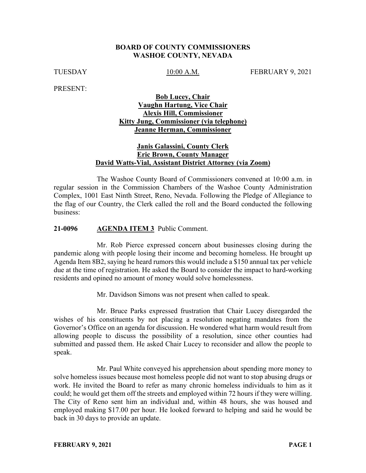### **BOARD OF COUNTY COMMISSIONERS WASHOE COUNTY, NEVADA**

TUESDAY 10:00 A.M. FEBRUARY 9, 2021

PRESENT:

## **Bob Lucey, Chair Vaughn Hartung, Vice Chair Alexis Hill, Commissioner Kitty Jung, Commissioner (via telephone) Jeanne Herman, Commissioner**

## **Janis Galassini, County Clerk Eric Brown, County Manager David Watts-Vial, Assistant District Attorney (via Zoom)**

The Washoe County Board of Commissioners convened at 10:00 a.m. in regular session in the Commission Chambers of the Washoe County Administration Complex, 1001 East Ninth Street, Reno, Nevada. Following the Pledge of Allegiance to the flag of our Country, the Clerk called the roll and the Board conducted the following business:

### **21-0096 AGENDA ITEM 3** Public Comment.

Mr. Rob Pierce expressed concern about businesses closing during the pandemic along with people losing their income and becoming homeless. He brought up Agenda Item 8B2, saying he heard rumors this would include a \$150 annual tax per vehicle due at the time of registration. He asked the Board to consider the impact to hard-working residents and opined no amount of money would solve homelessness.

Mr. Davidson Simons was not present when called to speak.

Mr. Bruce Parks expressed frustration that Chair Lucey disregarded the wishes of his constituents by not placing a resolution negating mandates from the Governor's Office on an agenda for discussion. He wondered what harm would result from allowing people to discuss the possibility of a resolution, since other counties had submitted and passed them. He asked Chair Lucey to reconsider and allow the people to speak.

Mr. Paul White conveyed his apprehension about spending more money to solve homeless issues because most homeless people did not want to stop abusing drugs or work. He invited the Board to refer as many chronic homeless individuals to him as it could; he would get them off the streets and employed within 72 hours if they were willing. The City of Reno sent him an individual and, within 48 hours, she was housed and employed making \$17.00 per hour. He looked forward to helping and said he would be back in 30 days to provide an update.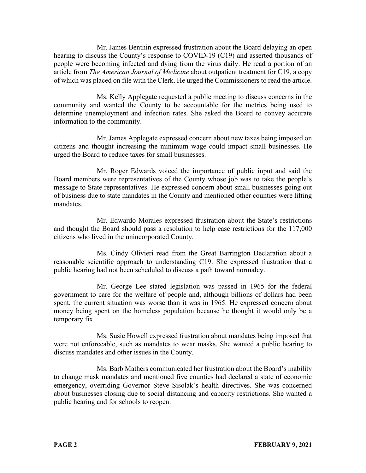Mr. James Benthin expressed frustration about the Board delaying an open hearing to discuss the County's response to COVID-19 (C19) and asserted thousands of people were becoming infected and dying from the virus daily. He read a portion of an article from *The American Journal of Medicine* about outpatient treatment for C19, a copy of which was placed on file with the Clerk. He urged the Commissioners to read the article.

Ms. Kelly Applegate requested a public meeting to discuss concerns in the community and wanted the County to be accountable for the metrics being used to determine unemployment and infection rates. She asked the Board to convey accurate information to the community.

Mr. James Applegate expressed concern about new taxes being imposed on citizens and thought increasing the minimum wage could impact small businesses. He urged the Board to reduce taxes for small businesses.

Mr. Roger Edwards voiced the importance of public input and said the Board members were representatives of the County whose job was to take the people's message to State representatives. He expressed concern about small businesses going out of business due to state mandates in the County and mentioned other counties were lifting mandates.

Mr. Edwardo Morales expressed frustration about the State's restrictions and thought the Board should pass a resolution to help ease restrictions for the 117,000 citizens who lived in the unincorporated County.

Ms. Cindy Olivieri read from the Great Barrington Declaration about a reasonable scientific approach to understanding C19. She expressed frustration that a public hearing had not been scheduled to discuss a path toward normalcy.

Mr. George Lee stated legislation was passed in 1965 for the federal government to care for the welfare of people and, although billions of dollars had been spent, the current situation was worse than it was in 1965. He expressed concern about money being spent on the homeless population because he thought it would only be a temporary fix.

Ms. Susie Howell expressed frustration about mandates being imposed that were not enforceable, such as mandates to wear masks. She wanted a public hearing to discuss mandates and other issues in the County.

Ms. Barb Mathers communicated her frustration about the Board's inability to change mask mandates and mentioned five counties had declared a state of economic emergency, overriding Governor Steve Sisolak's health directives. She was concerned about businesses closing due to social distancing and capacity restrictions. She wanted a public hearing and for schools to reopen.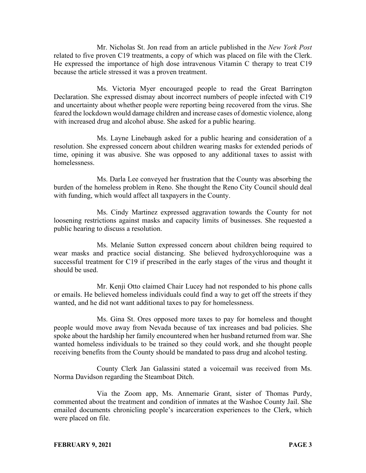Mr. Nicholas St. Jon read from an article published in the *New York Post* related to five proven C19 treatments, a copy of which was placed on file with the Clerk. He expressed the importance of high dose intravenous Vitamin C therapy to treat C19 because the article stressed it was a proven treatment.

Ms. Victoria Myer encouraged people to read the Great Barrington Declaration. She expressed dismay about incorrect numbers of people infected with C19 and uncertainty about whether people were reporting being recovered from the virus. She feared the lockdown would damage children and increase cases of domestic violence, along with increased drug and alcohol abuse. She asked for a public hearing.

Ms. Layne Linebaugh asked for a public hearing and consideration of a resolution. She expressed concern about children wearing masks for extended periods of time, opining it was abusive. She was opposed to any additional taxes to assist with homelessness.

Ms. Darla Lee conveyed her frustration that the County was absorbing the burden of the homeless problem in Reno. She thought the Reno City Council should deal with funding, which would affect all taxpayers in the County.

Ms. Cindy Martinez expressed aggravation towards the County for not loosening restrictions against masks and capacity limits of businesses. She requested a public hearing to discuss a resolution.

Ms. Melanie Sutton expressed concern about children being required to wear masks and practice social distancing. She believed hydroxychloroquine was a successful treatment for C19 if prescribed in the early stages of the virus and thought it should be used.

Mr. Kenji Otto claimed Chair Lucey had not responded to his phone calls or emails. He believed homeless individuals could find a way to get off the streets if they wanted, and he did not want additional taxes to pay for homelessness.

Ms. Gina St. Ores opposed more taxes to pay for homeless and thought people would move away from Nevada because of tax increases and bad policies. She spoke about the hardship her family encountered when her husband returned from war. She wanted homeless individuals to be trained so they could work, and she thought people receiving benefits from the County should be mandated to pass drug and alcohol testing.

County Clerk Jan Galassini stated a voicemail was received from Ms. Norma Davidson regarding the Steamboat Ditch.

Via the Zoom app, Ms. Annemarie Grant, sister of Thomas Purdy, commented about the treatment and condition of inmates at the Washoe County Jail. She emailed documents chronicling people's incarceration experiences to the Clerk, which were placed on file.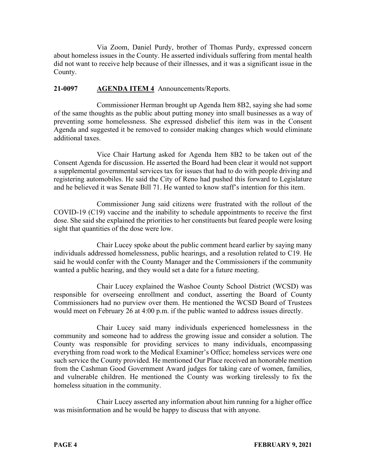Via Zoom, Daniel Purdy, brother of Thomas Purdy, expressed concern about homeless issues in the County. He asserted individuals suffering from mental health did not want to receive help because of their illnesses, and it was a significant issue in the County.

## **21-0097 AGENDA ITEM 4** Announcements/Reports.

Commissioner Herman brought up Agenda Item 8B2, saying she had some of the same thoughts as the public about putting money into small businesses as a way of preventing some homelessness. She expressed disbelief this item was in the Consent Agenda and suggested it be removed to consider making changes which would eliminate additional taxes.

Vice Chair Hartung asked for Agenda Item 8B2 to be taken out of the Consent Agenda for discussion. He asserted the Board had been clear it would not support a supplemental governmental services tax for issues that had to do with people driving and registering automobiles. He said the City of Reno had pushed this forward to Legislature and he believed it was Senate Bill 71. He wanted to know staff's intention for this item.

Commissioner Jung said citizens were frustrated with the rollout of the COVID-19 (C19) vaccine and the inability to schedule appointments to receive the first dose. She said she explained the priorities to her constituents but feared people were losing sight that quantities of the dose were low.

Chair Lucey spoke about the public comment heard earlier by saying many individuals addressed homelessness, public hearings, and a resolution related to C19. He said he would confer with the County Manager and the Commissioners if the community wanted a public hearing, and they would set a date for a future meeting.

Chair Lucey explained the Washoe County School District (WCSD) was responsible for overseeing enrollment and conduct, asserting the Board of County Commissioners had no purview over them. He mentioned the WCSD Board of Trustees would meet on February 26 at 4:00 p.m. if the public wanted to address issues directly.

Chair Lucey said many individuals experienced homelessness in the community and someone had to address the growing issue and consider a solution. The County was responsible for providing services to many individuals, encompassing everything from road work to the Medical Examiner's Office; homeless services were one such service the County provided. He mentioned Our Place received an honorable mention from the Cashman Good Government Award judges for taking care of women, families, and vulnerable children. He mentioned the County was working tirelessly to fix the homeless situation in the community.

Chair Lucey asserted any information about him running for a higher office was misinformation and he would be happy to discuss that with anyone.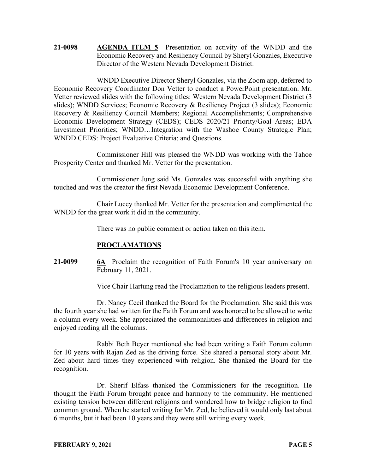**21-0098 AGENDA ITEM 5** Presentation on activity of the WNDD and the Economic Recovery and Resiliency Council by Sheryl Gonzales, Executive Director of the Western Nevada Development District.

WNDD Executive Director Sheryl Gonzales, via the Zoom app, deferred to Economic Recovery Coordinator Don Vetter to conduct a PowerPoint presentation. Mr. Vetter reviewed slides with the following titles: Western Nevada Development District (3 slides); WNDD Services; Economic Recovery & Resiliency Project (3 slides); Economic Recovery & Resiliency Council Members; Regional Accomplishments; Comprehensive Economic Development Strategy (CEDS); CEDS 2020/21 Priority/Goal Areas; EDA Investment Priorities; WNDD…Integration with the Washoe County Strategic Plan; WNDD CEDS: Project Evaluative Criteria; and Questions.

Commissioner Hill was pleased the WNDD was working with the Tahoe Prosperity Center and thanked Mr. Vetter for the presentation.

Commissioner Jung said Ms. Gonzales was successful with anything she touched and was the creator the first Nevada Economic Development Conference.

Chair Lucey thanked Mr. Vetter for the presentation and complimented the WNDD for the great work it did in the community.

There was no public comment or action taken on this item.

# **PROCLAMATIONS**

**21-0099 6A** Proclaim the recognition of Faith Forum's 10 year anniversary on February 11, 2021.

Vice Chair Hartung read the Proclamation to the religious leaders present.

Dr. Nancy Cecil thanked the Board for the Proclamation. She said this was the fourth year she had written for the Faith Forum and was honored to be allowed to write a column every week. She appreciated the commonalities and differences in religion and enjoyed reading all the columns.

Rabbi Beth Beyer mentioned she had been writing a Faith Forum column for 10 years with Rajan Zed as the driving force. She shared a personal story about Mr. Zed about hard times they experienced with religion. She thanked the Board for the recognition.

Dr. Sherif Elfass thanked the Commissioners for the recognition. He thought the Faith Forum brought peace and harmony to the community. He mentioned existing tension between different religions and wondered how to bridge religion to find common ground. When he started writing for Mr. Zed, he believed it would only last about 6 months, but it had been 10 years and they were still writing every week.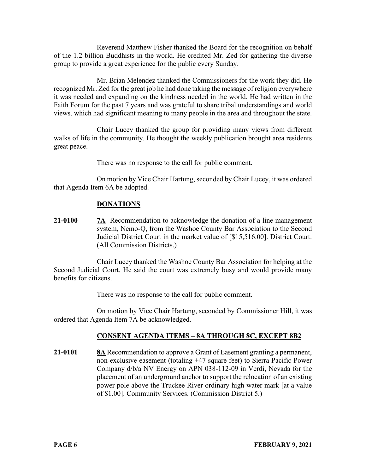Reverend Matthew Fisher thanked the Board for the recognition on behalf of the 1.2 billion Buddhists in the world. He credited Mr. Zed for gathering the diverse group to provide a great experience for the public every Sunday.

Mr. Brian Melendez thanked the Commissioners for the work they did. He recognized Mr. Zed for the great job he had done taking the message of religion everywhere it was needed and expanding on the kindness needed in the world. He had written in the Faith Forum for the past 7 years and was grateful to share tribal understandings and world views, which had significant meaning to many people in the area and throughout the state.

Chair Lucey thanked the group for providing many views from different walks of life in the community. He thought the weekly publication brought area residents great peace.

There was no response to the call for public comment.

On motion by Vice Chair Hartung, seconded by Chair Lucey, it was ordered that Agenda Item 6A be adopted.

# **DONATIONS**

**21-0100 7A** Recommendation to acknowledge the donation of a line management system, Nemo-Q, from the Washoe County Bar Association to the Second Judicial District Court in the market value of [\$15,516.00]. District Court. (All Commission Districts.)

Chair Lucey thanked the Washoe County Bar Association for helping at the Second Judicial Court. He said the court was extremely busy and would provide many benefits for citizens.

There was no response to the call for public comment.

On motion by Vice Chair Hartung, seconded by Commissioner Hill, it was ordered that Agenda Item 7A be acknowledged.

# **CONSENT AGENDA ITEMS – 8A THROUGH 8C, EXCEPT 8B2**

**21-0101 8A** Recommendation to approve a Grant of Easement granting a permanent, non-exclusive easement (totaling ±47 square feet) to Sierra Pacific Power Company d/b/a NV Energy on APN 038-112-09 in Verdi, Nevada for the placement of an underground anchor to support the relocation of an existing power pole above the Truckee River ordinary high water mark [at a value of \$1.00]. Community Services. (Commission District 5.)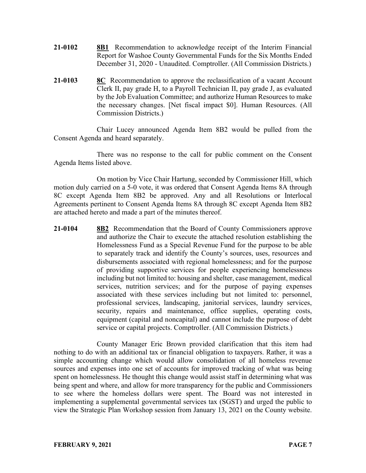- **21-0102 8B1** Recommendation to acknowledge receipt of the Interim Financial Report for Washoe County Governmental Funds for the Six Months Ended December 31, 2020 - Unaudited. Comptroller. (All Commission Districts.)
- **21-0103 8C** Recommendation to approve the reclassification of a vacant Account Clerk II, pay grade H, to a Payroll Technician II, pay grade J, as evaluated by the Job Evaluation Committee; and authorize Human Resources to make the necessary changes. [Net fiscal impact \$0]. Human Resources. (All Commission Districts.)

Chair Lucey announced Agenda Item 8B2 would be pulled from the Consent Agenda and heard separately.

There was no response to the call for public comment on the Consent Agenda Items listed above.

On motion by Vice Chair Hartung, seconded by Commissioner Hill, which motion duly carried on a 5-0 vote, it was ordered that Consent Agenda Items 8A through 8C except Agenda Item 8B2 be approved. Any and all Resolutions or Interlocal Agreements pertinent to Consent Agenda Items 8A through 8C except Agenda Item 8B2 are attached hereto and made a part of the minutes thereof.

**21-0104 8B2** Recommendation that the Board of County Commissioners approve and authorize the Chair to execute the attached resolution establishing the Homelessness Fund as a Special Revenue Fund for the purpose to be able to separately track and identify the County's sources, uses, resources and disbursements associated with regional homelessness; and for the purpose of providing supportive services for people experiencing homelessness including but not limited to: housing and shelter, case management, medical services, nutrition services; and for the purpose of paying expenses associated with these services including but not limited to: personnel, professional services, landscaping, janitorial services, laundry services, security, repairs and maintenance, office supplies, operating costs, equipment (capital and noncapital) and cannot include the purpose of debt service or capital projects. Comptroller. (All Commission Districts.)

County Manager Eric Brown provided clarification that this item had nothing to do with an additional tax or financial obligation to taxpayers. Rather, it was a simple accounting change which would allow consolidation of all homeless revenue sources and expenses into one set of accounts for improved tracking of what was being spent on homelessness. He thought this change would assist staff in determining what was being spent and where, and allow for more transparency for the public and Commissioners to see where the homeless dollars were spent. The Board was not interested in implementing a supplemental governmental services tax (SGST) and urged the public to view the Strategic Plan Workshop session from January 13, 2021 on the County website.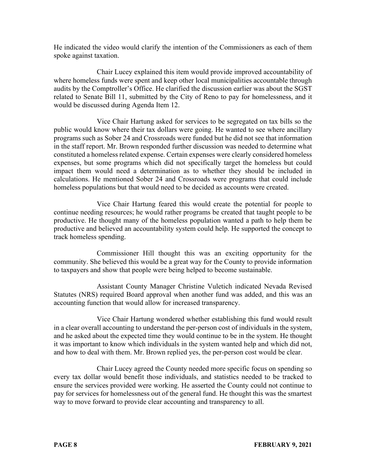He indicated the video would clarify the intention of the Commissioners as each of them spoke against taxation.

Chair Lucey explained this item would provide improved accountability of where homeless funds were spent and keep other local municipalities accountable through audits by the Comptroller's Office. He clarified the discussion earlier was about the SGST related to Senate Bill 11, submitted by the City of Reno to pay for homelessness, and it would be discussed during Agenda Item 12.

Vice Chair Hartung asked for services to be segregated on tax bills so the public would know where their tax dollars were going. He wanted to see where ancillary programs such as Sober 24 and Crossroads were funded but he did not see that information in the staff report. Mr. Brown responded further discussion was needed to determine what constituted a homeless related expense. Certain expenses were clearly considered homeless expenses, but some programs which did not specifically target the homeless but could impact them would need a determination as to whether they should be included in calculations. He mentioned Sober 24 and Crossroads were programs that could include homeless populations but that would need to be decided as accounts were created.

Vice Chair Hartung feared this would create the potential for people to continue needing resources; he would rather programs be created that taught people to be productive. He thought many of the homeless population wanted a path to help them be productive and believed an accountability system could help. He supported the concept to track homeless spending.

Commissioner Hill thought this was an exciting opportunity for the community. She believed this would be a great way for the County to provide information to taxpayers and show that people were being helped to become sustainable.

Assistant County Manager Christine Vuletich indicated Nevada Revised Statutes (NRS) required Board approval when another fund was added, and this was an accounting function that would allow for increased transparency.

Vice Chair Hartung wondered whether establishing this fund would result in a clear overall accounting to understand the per-person cost of individuals in the system, and he asked about the expected time they would continue to be in the system. He thought it was important to know which individuals in the system wanted help and which did not, and how to deal with them. Mr. Brown replied yes, the per-person cost would be clear.

Chair Lucey agreed the County needed more specific focus on spending so every tax dollar would benefit those individuals, and statistics needed to be tracked to ensure the services provided were working. He asserted the County could not continue to pay for services for homelessness out of the general fund. He thought this was the smartest way to move forward to provide clear accounting and transparency to all.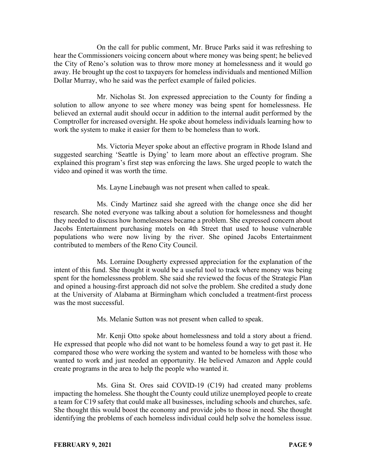On the call for public comment, Mr. Bruce Parks said it was refreshing to hear the Commissioners voicing concern about where money was being spent; he believed the City of Reno's solution was to throw more money at homelessness and it would go away. He brought up the cost to taxpayers for homeless individuals and mentioned Million Dollar Murray, who he said was the perfect example of failed policies.

Mr. Nicholas St. Jon expressed appreciation to the County for finding a solution to allow anyone to see where money was being spent for homelessness. He believed an external audit should occur in addition to the internal audit performed by the Comptroller for increased oversight. He spoke about homeless individuals learning how to work the system to make it easier for them to be homeless than to work.

Ms. Victoria Meyer spoke about an effective program in Rhode Island and suggested searching 'Seattle is Dying' to learn more about an effective program. She explained this program's first step was enforcing the laws. She urged people to watch the video and opined it was worth the time.

Ms. Layne Linebaugh was not present when called to speak.

Ms. Cindy Martinez said she agreed with the change once she did her research. She noted everyone was talking about a solution for homelessness and thought they needed to discuss how homelessness became a problem. She expressed concern about Jacobs Entertainment purchasing motels on 4th Street that used to house vulnerable populations who were now living by the river. She opined Jacobs Entertainment contributed to members of the Reno City Council.

Ms. Lorraine Dougherty expressed appreciation for the explanation of the intent of this fund. She thought it would be a useful tool to track where money was being spent for the homelessness problem. She said she reviewed the focus of the Strategic Plan and opined a housing-first approach did not solve the problem. She credited a study done at the University of Alabama at Birmingham which concluded a treatment-first process was the most successful.

Ms. Melanie Sutton was not present when called to speak.

Mr. Kenji Otto spoke about homelessness and told a story about a friend. He expressed that people who did not want to be homeless found a way to get past it. He compared those who were working the system and wanted to be homeless with those who wanted to work and just needed an opportunity. He believed Amazon and Apple could create programs in the area to help the people who wanted it.

Ms. Gina St. Ores said COVID-19 (C19) had created many problems impacting the homeless. She thought the County could utilize unemployed people to create a team for C19 safety that could make all businesses, including schools and churches, safe. She thought this would boost the economy and provide jobs to those in need. She thought identifying the problems of each homeless individual could help solve the homeless issue.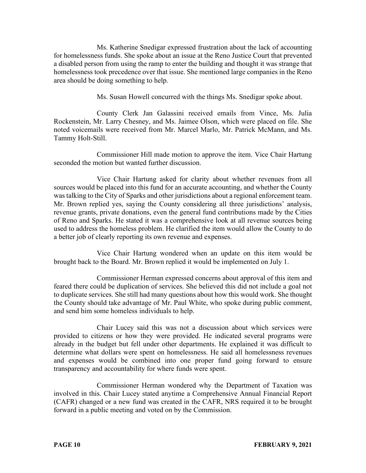Ms. Katherine Snedigar expressed frustration about the lack of accounting for homelessness funds. She spoke about an issue at the Reno Justice Court that prevented a disabled person from using the ramp to enter the building and thought it was strange that homelessness took precedence over that issue. She mentioned large companies in the Reno area should be doing something to help.

Ms. Susan Howell concurred with the things Ms. Snedigar spoke about.

County Clerk Jan Galassini received emails from Vince, Ms. Julia Rockenstein, Mr. Larry Chesney, and Ms. Jaimee Olson, which were placed on file. She noted voicemails were received from Mr. Marcel Marlo, Mr. Patrick McMann, and Ms. Tammy Holt-Still.

Commissioner Hill made motion to approve the item. Vice Chair Hartung seconded the motion but wanted further discussion.

Vice Chair Hartung asked for clarity about whether revenues from all sources would be placed into this fund for an accurate accounting, and whether the County was talking to the City of Sparks and other jurisdictions about a regional enforcement team. Mr. Brown replied yes, saying the County considering all three jurisdictions' analysis, revenue grants, private donations, even the general fund contributions made by the Cities of Reno and Sparks. He stated it was a comprehensive look at all revenue sources being used to address the homeless problem. He clarified the item would allow the County to do a better job of clearly reporting its own revenue and expenses.

Vice Chair Hartung wondered when an update on this item would be brought back to the Board. Mr. Brown replied it would be implemented on July 1.

Commissioner Herman expressed concerns about approval of this item and feared there could be duplication of services. She believed this did not include a goal not to duplicate services. She still had many questions about how this would work. She thought the County should take advantage of Mr. Paul White, who spoke during public comment, and send him some homeless individuals to help.

Chair Lucey said this was not a discussion about which services were provided to citizens or how they were provided. He indicated several programs were already in the budget but fell under other departments. He explained it was difficult to determine what dollars were spent on homelessness. He said all homelessness revenues and expenses would be combined into one proper fund going forward to ensure transparency and accountability for where funds were spent.

Commissioner Herman wondered why the Department of Taxation was involved in this. Chair Lucey stated anytime a Comprehensive Annual Financial Report (CAFR) changed or a new fund was created in the CAFR, NRS required it to be brought forward in a public meeting and voted on by the Commission.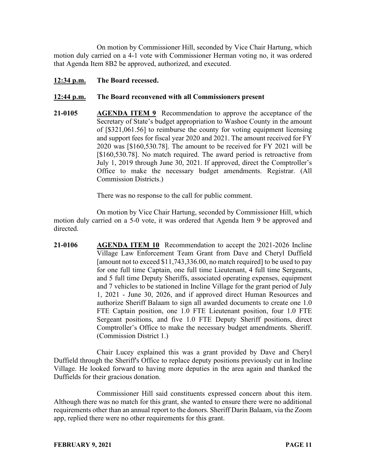On motion by Commissioner Hill, seconded by Vice Chair Hartung, which motion duly carried on a 4-1 vote with Commissioner Herman voting no, it was ordered that Agenda Item 8B2 be approved, authorized, and executed.

**12:34 p.m. The Board recessed.**

## **12:44 p.m. The Board reconvened with all Commissioners present**

**21-0105 AGENDA ITEM 9** Recommendation to approve the acceptance of the Secretary of State's budget appropriation to Washoe County in the amount of [\$321,061.56] to reimburse the county for voting equipment licensing and support fees for fiscal year 2020 and 2021. The amount received for FY 2020 was [\$160,530.78]. The amount to be received for FY 2021 will be [\$160,530.78]. No match required. The award period is retroactive from July 1, 2019 through June 30, 2021. If approved, direct the Comptroller's Office to make the necessary budget amendments. Registrar. (All Commission Districts.)

There was no response to the call for public comment.

On motion by Vice Chair Hartung, seconded by Commissioner Hill, which motion duly carried on a 5-0 vote, it was ordered that Agenda Item 9 be approved and directed.

**21-0106 AGENDA ITEM 10** Recommendation to accept the 2021-2026 Incline Village Law Enforcement Team Grant from Dave and Cheryl Duffield [amount not to exceed \$11,743,336.00, no match required] to be used to pay for one full time Captain, one full time Lieutenant, 4 full time Sergeants, and 5 full time Deputy Sheriffs, associated operating expenses, equipment and 7 vehicles to be stationed in Incline Village for the grant period of July 1, 2021 - June 30, 2026, and if approved direct Human Resources and authorize Sheriff Balaam to sign all awarded documents to create one 1.0 FTE Captain position, one 1.0 FTE Lieutenant position, four 1.0 FTE Sergeant positions, and five 1.0 FTE Deputy Sheriff positions, direct Comptroller's Office to make the necessary budget amendments. Sheriff. (Commission District 1.)

Chair Lucey explained this was a grant provided by Dave and Cheryl Duffield through the Sheriff's Office to replace deputy positions previously cut in Incline Village. He looked forward to having more deputies in the area again and thanked the Duffields for their gracious donation.

Commissioner Hill said constituents expressed concern about this item. Although there was no match for this grant, she wanted to ensure there were no additional requirements other than an annual report to the donors. Sheriff Darin Balaam, via the Zoom app, replied there were no other requirements for this grant.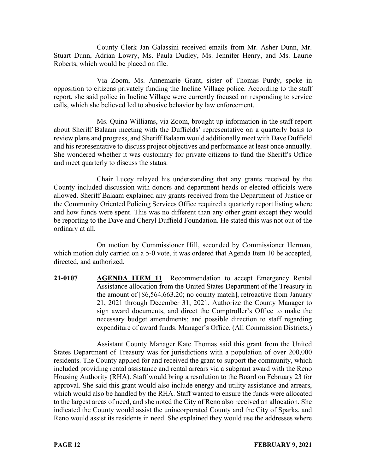County Clerk Jan Galassini received emails from Mr. Asher Dunn, Mr. Stuart Dunn, Adrian Lowry, Ms. Paula Dudley, Ms. Jennifer Henry, and Ms. Laurie Roberts, which would be placed on file.

Via Zoom, Ms. Annemarie Grant, sister of Thomas Purdy, spoke in opposition to citizens privately funding the Incline Village police. According to the staff report, she said police in Incline Village were currently focused on responding to service calls, which she believed led to abusive behavior by law enforcement.

Ms. Quina Williams, via Zoom, brought up information in the staff report about Sheriff Balaam meeting with the Duffields' representative on a quarterly basis to review plans and progress, and Sheriff Balaam would additionally meet with Dave Duffield and his representative to discuss project objectives and performance at least once annually. She wondered whether it was customary for private citizens to fund the Sheriff's Office and meet quarterly to discuss the status.

Chair Lucey relayed his understanding that any grants received by the County included discussion with donors and department heads or elected officials were allowed. Sheriff Balaam explained any grants received from the Department of Justice or the Community Oriented Policing Services Office required a quarterly report listing where and how funds were spent. This was no different than any other grant except they would be reporting to the Dave and Cheryl Duffield Foundation. He stated this was not out of the ordinary at all.

On motion by Commissioner Hill, seconded by Commissioner Herman, which motion duly carried on a 5-0 vote, it was ordered that Agenda Item 10 be accepted, directed, and authorized.

**21-0107 AGENDA ITEM 11** Recommendation to accept Emergency Rental Assistance allocation from the United States Department of the Treasury in the amount of [\$6,564,663.20; no county match], retroactive from January 21, 2021 through December 31, 2021. Authorize the County Manager to sign award documents, and direct the Comptroller's Office to make the necessary budget amendments; and possible direction to staff regarding expenditure of award funds. Manager's Office. (All Commission Districts.)

Assistant County Manager Kate Thomas said this grant from the United States Department of Treasury was for jurisdictions with a population of over 200,000 residents. The County applied for and received the grant to support the community, which included providing rental assistance and rental arrears via a subgrant award with the Reno Housing Authority (RHA). Staff would bring a resolution to the Board on February 23 for approval. She said this grant would also include energy and utility assistance and arrears, which would also be handled by the RHA. Staff wanted to ensure the funds were allocated to the largest areas of need, and she noted the City of Reno also received an allocation. She indicated the County would assist the unincorporated County and the City of Sparks, and Reno would assist its residents in need. She explained they would use the addresses where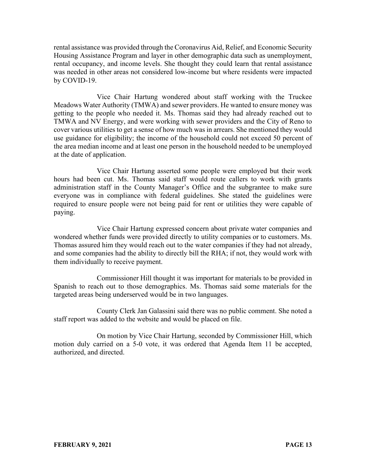rental assistance was provided through the Coronavirus Aid, Relief, and Economic Security Housing Assistance Program and layer in other demographic data such as unemployment, rental occupancy, and income levels. She thought they could learn that rental assistance was needed in other areas not considered low-income but where residents were impacted by COVID-19.

Vice Chair Hartung wondered about staff working with the Truckee Meadows Water Authority (TMWA) and sewer providers. He wanted to ensure money was getting to the people who needed it. Ms. Thomas said they had already reached out to TMWA and NV Energy, and were working with sewer providers and the City of Reno to cover various utilities to get a sense of how much was in arrears. She mentioned they would use guidance for eligibility; the income of the household could not exceed 50 percent of the area median income and at least one person in the household needed to be unemployed at the date of application.

Vice Chair Hartung asserted some people were employed but their work hours had been cut. Ms. Thomas said staff would route callers to work with grants administration staff in the County Manager's Office and the subgrantee to make sure everyone was in compliance with federal guidelines. She stated the guidelines were required to ensure people were not being paid for rent or utilities they were capable of paying.

Vice Chair Hartung expressed concern about private water companies and wondered whether funds were provided directly to utility companies or to customers. Ms. Thomas assured him they would reach out to the water companies if they had not already, and some companies had the ability to directly bill the RHA; if not, they would work with them individually to receive payment.

Commissioner Hill thought it was important for materials to be provided in Spanish to reach out to those demographics. Ms. Thomas said some materials for the targeted areas being underserved would be in two languages.

County Clerk Jan Galassini said there was no public comment. She noted a staff report was added to the website and would be placed on file.

On motion by Vice Chair Hartung, seconded by Commissioner Hill, which motion duly carried on a 5-0 vote, it was ordered that Agenda Item 11 be accepted, authorized, and directed.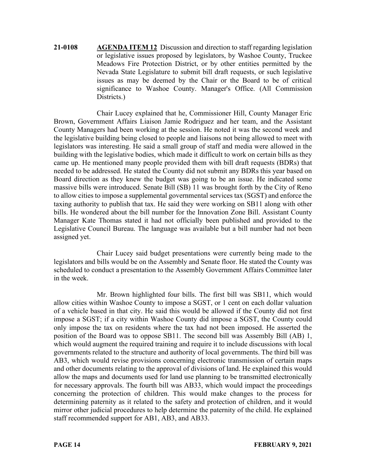**21-0108 AGENDA ITEM 12** Discussion and direction to staff regarding legislation or legislative issues proposed by legislators, by Washoe County, Truckee Meadows Fire Protection District, or by other entities permitted by the Nevada State Legislature to submit bill draft requests, or such legislative issues as may be deemed by the Chair or the Board to be of critical significance to Washoe County. Manager's Office. (All Commission Districts.)

Chair Lucey explained that he, Commissioner Hill, County Manager Eric Brown, Government Affairs Liaison Jamie Rodriguez and her team, and the Assistant County Managers had been working at the session. He noted it was the second week and the legislative building being closed to people and liaisons not being allowed to meet with legislators was interesting. He said a small group of staff and media were allowed in the building with the legislative bodies, which made it difficult to work on certain bills as they came up. He mentioned many people provided them with bill draft requests (BDRs) that needed to be addressed. He stated the County did not submit any BDRs this year based on Board direction as they knew the budget was going to be an issue. He indicated some massive bills were introduced. Senate Bill (SB) 11 was brought forth by the City of Reno to allow cities to impose a supplemental governmental services tax (SGST) and enforce the taxing authority to publish that tax. He said they were working on SB11 along with other bills. He wondered about the bill number for the Innovation Zone Bill. Assistant County Manager Kate Thomas stated it had not officially been published and provided to the Legislative Council Bureau. The language was available but a bill number had not been assigned yet.

Chair Lucey said budget presentations were currently being made to the legislators and bills would be on the Assembly and Senate floor. He stated the County was scheduled to conduct a presentation to the Assembly Government Affairs Committee later in the week.

Mr. Brown highlighted four bills. The first bill was SB11, which would allow cities within Washoe County to impose a SGST, or 1 cent on each dollar valuation of a vehicle based in that city. He said this would be allowed if the County did not first impose a SGST; if a city within Washoe County did impose a SGST, the County could only impose the tax on residents where the tax had not been imposed. He asserted the position of the Board was to oppose SB11. The second bill was Assembly Bill (AB) 1, which would augment the required training and require it to include discussions with local governments related to the structure and authority of local governments. The third bill was AB3, which would revise provisions concerning electronic transmission of certain maps and other documents relating to the approval of divisions of land. He explained this would allow the maps and documents used for land use planning to be transmitted electronically for necessary approvals. The fourth bill was AB33, which would impact the proceedings concerning the protection of children. This would make changes to the process for determining paternity as it related to the safety and protection of children, and it would mirror other judicial procedures to help determine the paternity of the child. He explained staff recommended support for AB1, AB3, and AB33.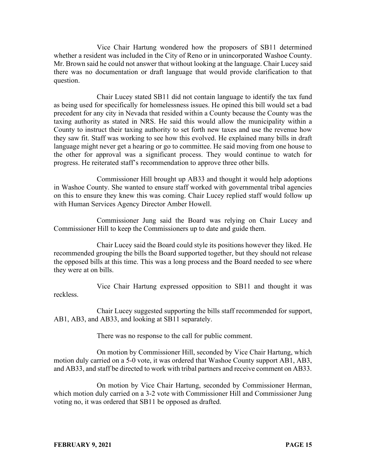Vice Chair Hartung wondered how the proposers of SB11 determined whether a resident was included in the City of Reno or in unincorporated Washoe County. Mr. Brown said he could not answer that without looking at the language. Chair Lucey said there was no documentation or draft language that would provide clarification to that question.

Chair Lucey stated SB11 did not contain language to identify the tax fund as being used for specifically for homelessness issues. He opined this bill would set a bad precedent for any city in Nevada that resided within a County because the County was the taxing authority as stated in NRS. He said this would allow the municipality within a County to instruct their taxing authority to set forth new taxes and use the revenue how they saw fit. Staff was working to see how this evolved. He explained many bills in draft language might never get a hearing or go to committee. He said moving from one house to the other for approval was a significant process. They would continue to watch for progress. He reiterated staff's recommendation to approve three other bills.

Commissioner Hill brought up AB33 and thought it would help adoptions in Washoe County. She wanted to ensure staff worked with governmental tribal agencies on this to ensure they knew this was coming. Chair Lucey replied staff would follow up with Human Services Agency Director Amber Howell.

Commissioner Jung said the Board was relying on Chair Lucey and Commissioner Hill to keep the Commissioners up to date and guide them.

Chair Lucey said the Board could style its positions however they liked. He recommended grouping the bills the Board supported together, but they should not release the opposed bills at this time. This was a long process and the Board needed to see where they were at on bills.

Vice Chair Hartung expressed opposition to SB11 and thought it was reckless.

Chair Lucey suggested supporting the bills staff recommended for support, AB1, AB3, and AB33, and looking at SB11 separately.

There was no response to the call for public comment.

On motion by Commissioner Hill, seconded by Vice Chair Hartung, which motion duly carried on a 5-0 vote, it was ordered that Washoe County support AB1, AB3, and AB33, and staff be directed to work with tribal partners and receive comment on AB33.

On motion by Vice Chair Hartung, seconded by Commissioner Herman, which motion duly carried on a 3-2 vote with Commissioner Hill and Commissioner Jung voting no, it was ordered that SB11 be opposed as drafted.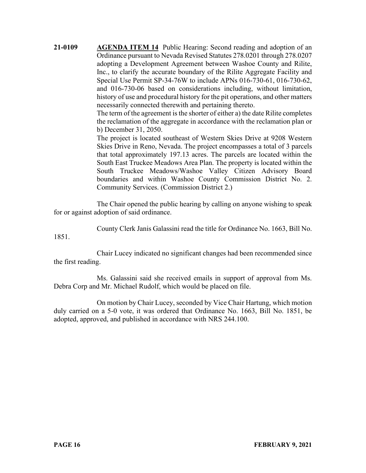**21-0109 AGENDA ITEM 14** Public Hearing: Second reading and adoption of an Ordinance pursuant to Nevada Revised Statutes 278.0201 through 278.0207 adopting a Development Agreement between Washoe County and Rilite, Inc., to clarify the accurate boundary of the Rilite Aggregate Facility and Special Use Permit SP-34-76W to include APNs 016-730-61, 016-730-62, and 016-730-06 based on considerations including, without limitation, history of use and procedural history for the pit operations, and other matters necessarily connected therewith and pertaining thereto.

> The term of the agreement is the shorter of either a) the date Rilite completes the reclamation of the aggregate in accordance with the reclamation plan or b) December 31, 2050.

> The project is located southeast of Western Skies Drive at 9208 Western Skies Drive in Reno, Nevada. The project encompasses a total of 3 parcels that total approximately 197.13 acres. The parcels are located within the South East Truckee Meadows Area Plan. The property is located within the South Truckee Meadows/Washoe Valley Citizen Advisory Board boundaries and within Washoe County Commission District No. 2. Community Services. (Commission District 2.)

The Chair opened the public hearing by calling on anyone wishing to speak for or against adoption of said ordinance.

County Clerk Janis Galassini read the title for Ordinance No. 1663, Bill No.

1851.

Chair Lucey indicated no significant changes had been recommended since the first reading.

Ms. Galassini said she received emails in support of approval from Ms. Debra Corp and Mr. Michael Rudolf, which would be placed on file.

On motion by Chair Lucey, seconded by Vice Chair Hartung, which motion duly carried on a 5-0 vote, it was ordered that Ordinance No. 1663, Bill No. 1851, be adopted, approved, and published in accordance with NRS 244.100.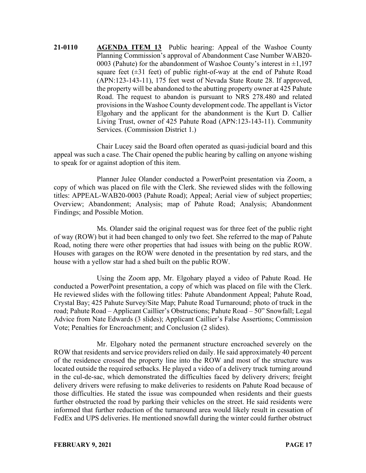**21-0110 AGENDA ITEM 13** Public hearing: Appeal of the Washoe County Planning Commission's approval of Abandonment Case Number WAB20- 0003 (Pahute) for the abandonment of Washoe County's interest in  $\pm 1,197$ square feet  $(\pm 31)$  feet) of public right-of-way at the end of Pahute Road (APN:123-143-11), 175 feet west of Nevada State Route 28. If approved, the property will be abandoned to the abutting property owner at 425 Pahute Road. The request to abandon is pursuant to NRS 278.480 and related provisions in the Washoe County development code. The appellant is Victor Elgohary and the applicant for the abandonment is the Kurt D. Callier Living Trust, owner of 425 Pahute Road (APN:123-143-11). Community Services. (Commission District 1.)

Chair Lucey said the Board often operated as quasi-judicial board and this appeal was such a case. The Chair opened the public hearing by calling on anyone wishing to speak for or against adoption of this item.

Planner Julee Olander conducted a PowerPoint presentation via Zoom, a copy of which was placed on file with the Clerk. She reviewed slides with the following titles: APPEAL-WAB20-0003 (Pahute Road); Appeal; Aerial view of subject properties; Overview; Abandonment; Analysis; map of Pahute Road; Analysis; Abandonment Findings; and Possible Motion.

Ms. Olander said the original request was for three feet of the public right of way (ROW) but it had been changed to only two feet. She referred to the map of Pahute Road, noting there were other properties that had issues with being on the public ROW. Houses with garages on the ROW were denoted in the presentation by red stars, and the house with a yellow star had a shed built on the public ROW.

Using the Zoom app, Mr. Elgohary played a video of Pahute Road. He conducted a PowerPoint presentation, a copy of which was placed on file with the Clerk. He reviewed slides with the following titles: Pahute Abandonment Appeal; Pahute Road, Crystal Bay; 425 Pahute Survey/Site Map; Pahute Road Turnaround; photo of truck in the road; Pahute Road – Applicant Caillier's Obstructions; Pahute Road – 50" Snowfall; Legal Advice from Nate Edwards (3 slides); Applicant Caillier's False Assertions; Commission Vote; Penalties for Encroachment; and Conclusion (2 slides).

Mr. Elgohary noted the permanent structure encroached severely on the ROW that residents and service providers relied on daily. He said approximately 40 percent of the residence crossed the property line into the ROW and most of the structure was located outside the required setbacks. He played a video of a delivery truck turning around in the cul-de-sac, which demonstrated the difficulties faced by delivery drivers; freight delivery drivers were refusing to make deliveries to residents on Pahute Road because of those difficulties. He stated the issue was compounded when residents and their guests further obstructed the road by parking their vehicles on the street. He said residents were informed that further reduction of the turnaround area would likely result in cessation of FedEx and UPS deliveries. He mentioned snowfall during the winter could further obstruct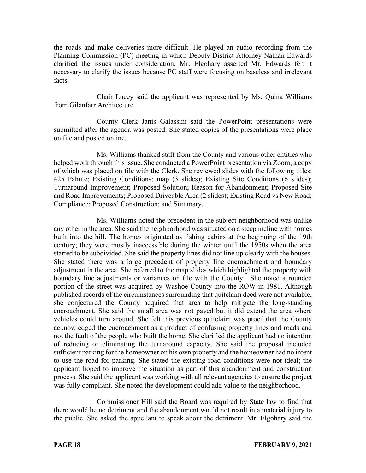the roads and make deliveries more difficult. He played an audio recording from the Planning Commission (PC) meeting in which Deputy District Attorney Nathan Edwards clarified the issues under consideration. Mr. Elgohary asserted Mr. Edwards felt it necessary to clarify the issues because PC staff were focusing on baseless and irrelevant facts.

Chair Lucey said the applicant was represented by Ms. Quina Williams from Gilanfarr Architecture.

County Clerk Janis Galassini said the PowerPoint presentations were submitted after the agenda was posted. She stated copies of the presentations were place on file and posted online.

Ms. Williams thanked staff from the County and various other entities who helped work through this issue. She conducted a PowerPoint presentation via Zoom, a copy of which was placed on file with the Clerk. She reviewed slides with the following titles: 425 Pahute; Existing Conditions; map (3 slides); Existing Site Conditions (6 slides); Turnaround Improvement; Proposed Solution; Reason for Abandonment; Proposed Site and Road Improvements; Proposed Driveable Area (2 slides); Existing Road vs New Road; Compliance; Proposed Construction; and Summary.

Ms. Williams noted the precedent in the subject neighborhood was unlike any other in the area. She said the neighborhood was situated on a steep incline with homes built into the hill. The homes originated as fishing cabins at the beginning of the 19th century; they were mostly inaccessible during the winter until the 1950s when the area started to be subdivided. She said the property lines did not line up clearly with the houses. She stated there was a large precedent of property line encroachment and boundary adjustment in the area. She referred to the map slides which highlighted the property with boundary line adjustments or variances on file with the County. She noted a rounded portion of the street was acquired by Washoe County into the ROW in 1981. Although published records of the circumstances surrounding that quitclaim deed were not available, she conjectured the County acquired that area to help mitigate the long-standing encroachment. She said the small area was not paved but it did extend the area where vehicles could turn around. She felt this previous quitclaim was proof that the County acknowledged the encroachment as a product of confusing property lines and roads and not the fault of the people who built the home. She clarified the applicant had no intention of reducing or eliminating the turnaround capacity. She said the proposal included sufficient parking for the homeowner on his own property and the homeowner had no intent to use the road for parking. She stated the existing road conditions were not ideal; the applicant hoped to improve the situation as part of this abandonment and construction process. She said the applicant was working with all relevant agencies to ensure the project was fully compliant. She noted the development could add value to the neighborhood.

Commissioner Hill said the Board was required by State law to find that there would be no detriment and the abandonment would not result in a material injury to the public. She asked the appellant to speak about the detriment. Mr. Elgohary said the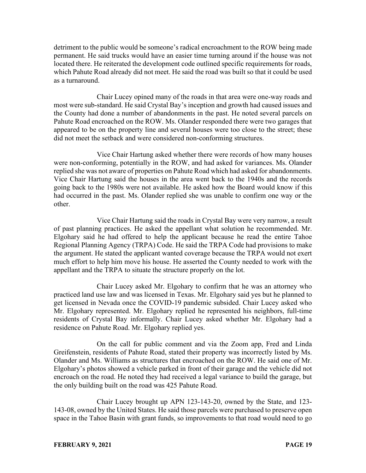detriment to the public would be someone's radical encroachment to the ROW being made permanent. He said trucks would have an easier time turning around if the house was not located there. He reiterated the development code outlined specific requirements for roads, which Pahute Road already did not meet. He said the road was built so that it could be used as a turnaround.

Chair Lucey opined many of the roads in that area were one-way roads and most were sub-standard. He said Crystal Bay's inception and growth had caused issues and the County had done a number of abandonments in the past. He noted several parcels on Pahute Road encroached on the ROW. Ms. Olander responded there were two garages that appeared to be on the property line and several houses were too close to the street; these did not meet the setback and were considered non-conforming structures.

Vice Chair Hartung asked whether there were records of how many houses were non-conforming, potentially in the ROW, and had asked for variances. Ms. Olander replied she was not aware of properties on Pahute Road which had asked for abandonments. Vice Chair Hartung said the houses in the area went back to the 1940s and the records going back to the 1980s were not available. He asked how the Board would know if this had occurred in the past. Ms. Olander replied she was unable to confirm one way or the other.

Vice Chair Hartung said the roads in Crystal Bay were very narrow, a result of past planning practices. He asked the appellant what solution he recommended. Mr. Elgohary said he had offered to help the applicant because he read the entire Tahoe Regional Planning Agency (TRPA) Code. He said the TRPA Code had provisions to make the argument. He stated the applicant wanted coverage because the TRPA would not exert much effort to help him move his house. He asserted the County needed to work with the appellant and the TRPA to situate the structure properly on the lot.

Chair Lucey asked Mr. Elgohary to confirm that he was an attorney who practiced land use law and was licensed in Texas. Mr. Elgohary said yes but he planned to get licensed in Nevada once the COVID-19 pandemic subsided. Chair Lucey asked who Mr. Elgohary represented. Mr. Elgohary replied he represented his neighbors, full-time residents of Crystal Bay informally. Chair Lucey asked whether Mr. Elgohary had a residence on Pahute Road. Mr. Elgohary replied yes.

On the call for public comment and via the Zoom app, Fred and Linda Greifenstein, residents of Pahute Road, stated their property was incorrectly listed by Ms. Olander and Ms. Williams as structures that encroached on the ROW. He said one of Mr. Elgohary's photos showed a vehicle parked in front of their garage and the vehicle did not encroach on the road. He noted they had received a legal variance to build the garage, but the only building built on the road was 425 Pahute Road.

Chair Lucey brought up APN 123-143-20, owned by the State, and 123- 143-08, owned by the United States. He said those parcels were purchased to preserve open space in the Tahoe Basin with grant funds, so improvements to that road would need to go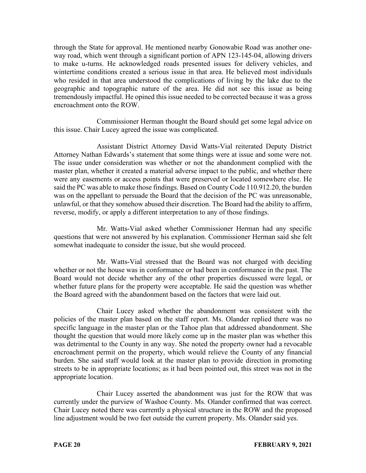through the State for approval. He mentioned nearby Gonowabie Road was another oneway road, which went through a significant portion of APN 123-145-04, allowing drivers to make u-turns. He acknowledged roads presented issues for delivery vehicles, and wintertime conditions created a serious issue in that area. He believed most individuals who resided in that area understood the complications of living by the lake due to the geographic and topographic nature of the area. He did not see this issue as being tremendously impactful. He opined this issue needed to be corrected because it was a gross encroachment onto the ROW.

Commissioner Herman thought the Board should get some legal advice on this issue. Chair Lucey agreed the issue was complicated.

Assistant District Attorney David Watts-Vial reiterated Deputy District Attorney Nathan Edwards's statement that some things were at issue and some were not. The issue under consideration was whether or not the abandonment complied with the master plan, whether it created a material adverse impact to the public, and whether there were any easements or access points that were preserved or located somewhere else. He said the PC was able to make those findings. Based on County Code 110.912.20, the burden was on the appellant to persuade the Board that the decision of the PC was unreasonable, unlawful, or that they somehow abused their discretion. The Board had the ability to affirm, reverse, modify, or apply a different interpretation to any of those findings.

Mr. Watts-Vial asked whether Commissioner Herman had any specific questions that were not answered by his explanation. Commissioner Herman said she felt somewhat inadequate to consider the issue, but she would proceed.

Mr. Watts-Vial stressed that the Board was not charged with deciding whether or not the house was in conformance or had been in conformance in the past. The Board would not decide whether any of the other properties discussed were legal, or whether future plans for the property were acceptable. He said the question was whether the Board agreed with the abandonment based on the factors that were laid out.

Chair Lucey asked whether the abandonment was consistent with the policies of the master plan based on the staff report. Ms. Olander replied there was no specific language in the master plan or the Tahoe plan that addressed abandonment. She thought the question that would more likely come up in the master plan was whether this was detrimental to the County in any way. She noted the property owner had a revocable encroachment permit on the property, which would relieve the County of any financial burden. She said staff would look at the master plan to provide direction in promoting streets to be in appropriate locations; as it had been pointed out, this street was not in the appropriate location.

Chair Lucey asserted the abandonment was just for the ROW that was currently under the purview of Washoe County. Ms. Olander confirmed that was correct. Chair Lucey noted there was currently a physical structure in the ROW and the proposed line adjustment would be two feet outside the current property. Ms. Olander said yes.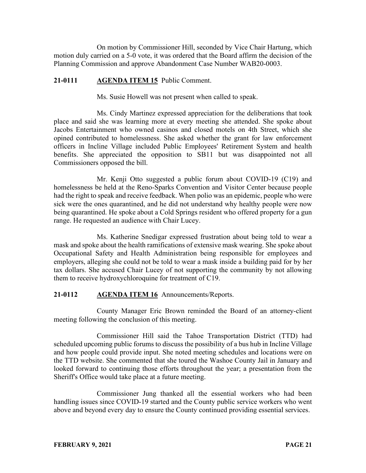On motion by Commissioner Hill, seconded by Vice Chair Hartung, which motion duly carried on a 5-0 vote, it was ordered that the Board affirm the decision of the Planning Commission and approve Abandonment Case Number WAB20-0003.

### **21-0111 AGENDA ITEM 15** Public Comment.

Ms. Susie Howell was not present when called to speak.

Ms. Cindy Martinez expressed appreciation for the deliberations that took place and said she was learning more at every meeting she attended. She spoke about Jacobs Entertainment who owned casinos and closed motels on 4th Street, which she opined contributed to homelessness. She asked whether the grant for law enforcement officers in Incline Village included Public Employees' Retirement System and health benefits. She appreciated the opposition to SB11 but was disappointed not all Commissioners opposed the bill.

Mr. Kenji Otto suggested a public forum about COVID-19 (C19) and homelessness be held at the Reno-Sparks Convention and Visitor Center because people had the right to speak and receive feedback. When polio was an epidemic, people who were sick were the ones quarantined, and he did not understand why healthy people were now being quarantined. He spoke about a Cold Springs resident who offered property for a gun range. He requested an audience with Chair Lucey.

Ms. Katherine Snedigar expressed frustration about being told to wear a mask and spoke about the health ramifications of extensive mask wearing. She spoke about Occupational Safety and Health Administration being responsible for employees and employers, alleging she could not be told to wear a mask inside a building paid for by her tax dollars. She accused Chair Lucey of not supporting the community by not allowing them to receive hydroxychloroquine for treatment of C19.

### **21-0112 AGENDA ITEM 16** Announcements/Reports.

County Manager Eric Brown reminded the Board of an attorney-client meeting following the conclusion of this meeting.

Commissioner Hill said the Tahoe Transportation District (TTD) had scheduled upcoming public forums to discuss the possibility of a bus hub in Incline Village and how people could provide input. She noted meeting schedules and locations were on the TTD website. She commented that she toured the Washoe County Jail in January and looked forward to continuing those efforts throughout the year; a presentation from the Sheriff's Office would take place at a future meeting.

Commissioner Jung thanked all the essential workers who had been handling issues since COVID-19 started and the County public service workers who went above and beyond every day to ensure the County continued providing essential services.